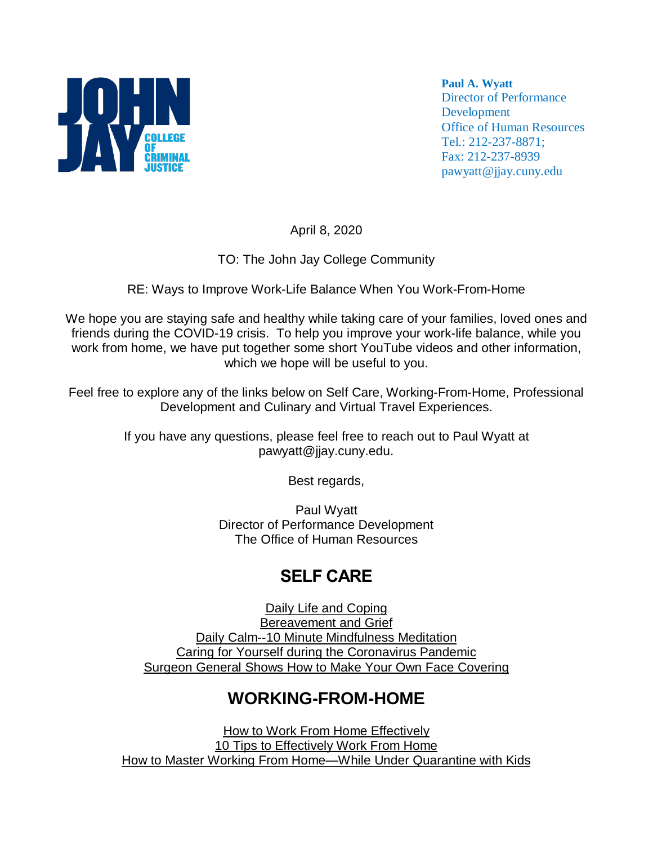

**Paul A. Wyatt** Director of Performance Development Office of Human Resources Tel.: 212-237-8871; Fax: 212-237-8939 pawyatt@jjay.cuny.edu

April 8, 2020

TO: The John Jay College Community

#### RE: Ways to Improve Work-Life Balance When You Work-From-Home

We hope you are staying safe and healthy while taking care of your families, loved ones and friends during the COVID-19 crisis. To help you improve your work-life balance, while you work from home, we have put together some short YouTube videos and other information, which we hope will be useful to you.

Feel free to explore any of the links below on Self Care, Working-From-Home, Professional Development and Culinary and Virtual Travel Experiences.

> If you have any questions, please feel free to reach out to Paul Wyatt at pawyatt@jjay.cuny.edu.

> > Best regards,

Paul Wyatt Director of Performance Development The Office of Human Resources

# **SELF CARE**

Daily Life and [Coping](https://www.cdc.gov/coronavirus/2019-ncov/daily-life-coping/index.html) [Bereavement](https://www.mhanational.org/bereavement-and-grief) and Grief Daily Calm--10 Minute [Mindfulness](https://www.youtube.com/watch?v=ZToicYcHIOU&feature=youtu.be) Meditation Caring for Yourself during the [Coronavirus](https://youtu.be/Bj_VkKyWu2M) Pandemic Surgeon General Shows How to Make Your Own Face [Covering](https://www.youtube.com/watch?v=PI1GxNjAjlw)

# **WORKING-FROM-HOME**

How to Work From Home [Effectively](https://youtu.be/rnixbcplpvQ) 10 Tips to [Effectively](https://youtu.be/vxDAu4HrUL0) Work From Home How to Master Working From [Home—While](https://www.parents.com/parenting/work/life-balance/how-to-master-being-a-work-at-home-mom/) Under Quarantine with Kids